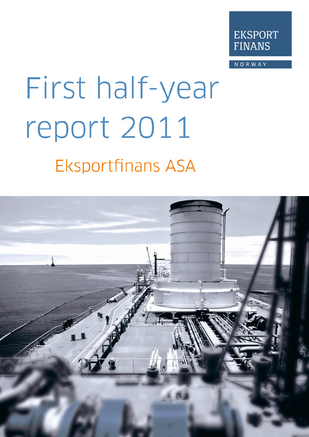

**NORWAY** 

# First half-year report 2011 **Eksportfinans ASA**

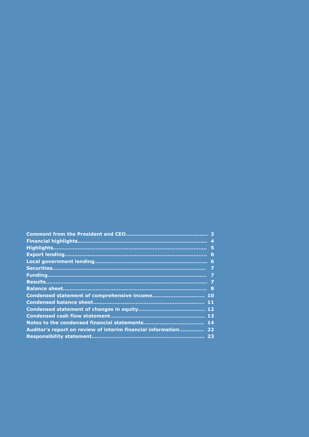|                                                             | $\mathbf{A}$ |
|-------------------------------------------------------------|--------------|
|                                                             | - 5          |
|                                                             | 6            |
|                                                             |              |
|                                                             | 7            |
|                                                             | - 7          |
|                                                             |              |
|                                                             |              |
|                                                             |              |
|                                                             | 11           |
|                                                             |              |
|                                                             |              |
|                                                             | 14           |
| Auditor's report on review of interim financial information | 22           |
|                                                             |              |
|                                                             |              |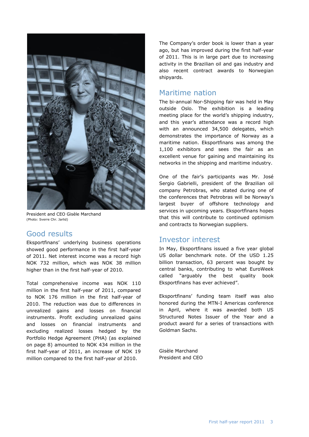

President and CEO Gisèle Marchand (Photo: Sverre Chr. Jarlid)

## Good results

Eksportfinans' underlying business operations showed good performance in the first half-year of 2011. Net interest income was a record high NOK 732 million, which was NOK 38 million higher than in the first half-year of 2010.

Total comprehensive income was NOK 110 million in the first half-year of 2011, compared to NOK 176 million in the first half-year of 2010. The reduction was due to differences in unrealized gains and losses on financial instruments. Profit excluding unrealized gains and losses on financial instruments and excluding realized losses hedged by the Portfolio Hedge Agreement (PHA) (as explained on page 8) amounted to NOK 434 million in the first half-year of 2011, an increase of NOK 19 million compared to the first half-year of 2010.

The Company's order book is lower than a year ago, but has improved during the first half-year of 2011. This is in large part due to increasing activity in the Brazilian oil and gas industry and also recent contract awards to Norwegian shipyards.

### Maritime nation

The bi-annual Nor-Shipping fair was held in May outside Oslo. The exhibition is a leading meeting place for the world's shipping industry, and this year's attendance was a record high with an announced 34,500 delegates, which demonstrates the importance of Norway as a maritime nation. Eksportfinans was among the 1,100 exhibitors and sees the fair as an excellent venue for gaining and maintaining its networks in the shipping and maritime industry.

One of the fair's participants was Mr. José Sergio Gabrielli, president of the Brazilian oil company Petrobras, who stated during one of the conferences that Petrobras will be Norway's largest buyer of offshore technology and services in upcoming years. Eksportfinans hopes that this will contribute to continued optimism and contracts to Norwegian suppliers.

## Investor interest

In May, Eksportfinans issued a five year global US dollar benchmark note. Of the USD 1.25 billion transaction, 63 percent was bought by central banks, contributing to what EuroWeek called "arguably the best quality book Eksportfinans has ever achieved".

Eksportfinans' funding team itself was also honored during the MTN-I Americas conference in April, where it was awarded both US Structured Notes Issuer of the Year and a product award for a series of transactions with Goldman Sachs.

Gisèle Marchand President and CEO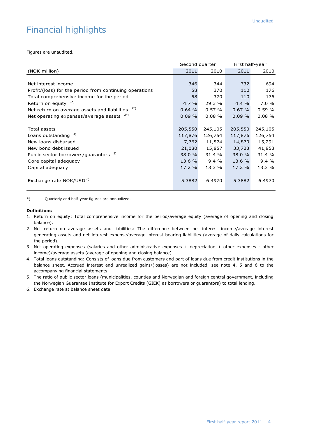# Financial highlights

Figures are unaudited.

|                                                         | Second quarter |           | First half-year |           |
|---------------------------------------------------------|----------------|-----------|-----------------|-----------|
| (NOK million)                                           | 2011           | 2010      | 2011            | 2010      |
|                                                         |                |           |                 |           |
| Net interest income                                     | 346            | 344       | 732             | 694       |
| Profit/(loss) for the period from continuing operations | 58             | 370       | 110             | 176       |
| Total comprehensive income for the period               | 58             | 370       | 110             | 176       |
| Return on equity $1^*$                                  | 4.7%           | 29.3 %    | 4.4%            | 7.0%      |
| Net return on average assets and liabilities            | 0.64%          | 0.57%     | 0.67%           | 0.59%     |
| Net operating expenses/average assets $3^{(*)}$         | 0.09%          | $0.08 \%$ | 0.09%           | $0.08 \%$ |
|                                                         |                |           |                 |           |
| Total assets                                            | 205,550        | 245,105   | 205,550         | 245,105   |
| Loans outstanding <sup>4)</sup>                         | 117,876        | 126,754   | 117,876         | 126,754   |
| New loans disbursed                                     | 7,762          | 11,574    | 14,870          | 15,291    |
| New bond debt issued                                    | 21,080         | 15,857    | 33,723          | 41,853    |
| Public sector borrowers/guarantors 5)                   | 38.0 %         | 31.4 %    | 38.0 %          | 31.4 %    |
| Core capital adequacy                                   | 13.6 %         | 9.4%      | 13.6 %          | 9.4%      |
| Capital adequacy                                        | 17.2%          | 13.3 %    | 17.2 %          | 13.3 %    |
|                                                         |                |           |                 |           |
| Exchange rate NOK/USD <sup>6)</sup>                     | 5.3882         | 6.4970    | 5.3882          | 6.4970    |
|                                                         |                |           |                 |           |

\*) Quarterly and half-year figures are annualized.

#### **Definitions**

- 1. Return on equity: Total comprehensive income for the period/average equity (average of opening and closing balance).
- 2. Net return on average assets and liabilities: The difference between net interest income/average interest generating assets and net interest expense/average interest bearing liabilities (average of daily calculations for the period).
- 3. Net operating expenses (salaries and other administrative expenses + depreciation + other expenses other income)/average assets (average of opening and closing balance).
- 4. Total loans outstanding: Consists of loans due from customers and part of loans due from credit institutions in the balance sheet. Accrued interest and unrealized gains/(losses) are not included, see note 4, 5 and 6 to the accompanying financial statements.
- 5. The ratio of public sector loans (municipalities, counties and Norwegian and foreign central government, including the Norwegian Guarantee Institute for Export Credits (GIEK) as borrowers or guarantors) to total lending.
- 6. Exchange rate at balance sheet date.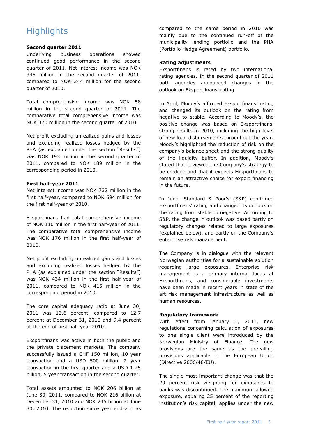# **Highlights**

#### **Second quarter 2011**

Underlying business operations showed continued good performance in the second quarter of 2011. Net interest income was NOK 346 million in the second quarter of 2011, compared to NOK 344 million for the second quarter of 2010.

Total comprehensive income was NOK 58 million in the second quarter of 2011. The comparative total comprehensive income was NOK 370 million in the second quarter of 2010.

Net profit excluding unrealized gains and losses and excluding realized losses hedged by the PHA (as explained under the section "Results") was NOK 193 million in the second quarter of 2011, compared to NOK 189 million in the corresponding period in 2010.

#### **First half-year 2011**

Net interest income was NOK 732 million in the first half-year, compared to NOK 694 million for the first half-year of 2010.

Eksportfinans had total comprehensive income of NOK 110 million in the first half-year of 2011. The comparative total comprehensive income was NOK 176 million in the first half-year of 2010.

Net profit excluding unrealized gains and losses and excluding realized losses hedged by the PHA (as explained under the section "Results") was NOK 434 million in the first half-year of 2011, compared to NOK 415 million in the corresponding period in 2010.

The core capital adequacy ratio at June 30, 2011 was 13.6 percent, compared to 12.7 percent at December 31, 2010 and 9.4 percent at the end of first half-year 2010.

Eksportfinans was active in both the public and the private placement markets. The company successfully issued a CHF 150 million, 10 year transaction and a USD 500 million, 2 year transaction in the first quarter and a USD 1.25 billion, 5 year transaction in the second quarter.

Total assets amounted to NOK 206 billion at June 30, 2011, compared to NOK 216 billion at December 31, 2010 and NOK 245 billion at June 30, 2010. The reduction since year end and as compared to the same period in 2010 was mainly due to the continued run-off of the municipality lending portfolio and the PHA (Portfolio Hedge Agreement) portfolio.

#### **Rating adjustments**

Eksportfinans is rated by two international rating agencies. In the second quarter of 2011 both agencies announced changes in the outlook on Eksportfinans' rating.

In April, Moody's affirmed Eksportfinans' rating and changed its outlook on the rating from negative to stable. According to Moody's, the positive change was based on Eksportfinans' strong results in 2010, including the high level of new loan disbursements throughout the year. Moody's highlighted the reduction of risk on the company's balance sheet and the strong quality of the liquidity buffer. In addition, Moody's stated that it viewed the Company's strategy to be credible and that it expects Eksportfinans to remain an attractive choice for export financing in the future.

In June, Standard & Poor's (S&P) confirmed Eksportfinans' rating and changed its outlook on the rating from stable to negative. According to S&P, the change in outlook was based partly on regulatory changes related to large exposures (explained below), and partly on the Company's enterprise risk management.

The Company is in dialogue with the relevant Norwegian authorities for a sustainable solution regarding large exposures. Enterprise risk management is a primary internal focus at Eksportfinans, and considerable investments have been made in recent years in state of the art risk management infrastructure as well as human resources.

#### **Regulatory framework**

With effect from January 1, 2011, new regulations concerning calculation of exposures to one single client were introduced by the Norwegian Ministry of Finance. The new provisions are the same as the prevailing provisions applicable in the European Union (Directive 2006/48/EU).

The single most important change was that the 20 percent risk weighting for exposures to banks was discontinued. The maximum allowed exposure, equaling 25 percent of the reporting institution's risk capital, applies under the new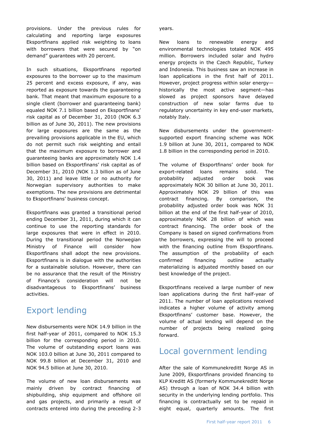provisions. Under the previous rules for calculating and reporting large exposures Eksportfinans applied risk weighting to loans with borrowers that were secured by "on demand" quarantees with 20 percent.

In such situations, Eksportfinans reported exposures to the borrower up to the maximum 25 percent and excess exposure, if any, was reported as exposure towards the guaranteeing bank. That meant that maximum exposure to a single client (borrower and guaranteeing bank) equaled NOK 7.1 billion based on Eksportfinans' risk capital as of December 31, 2010 (NOK 6.3 billion as of June 30, 2011). The new provisions for large exposures are the same as the prevailing provisions applicable in the EU, which do not permit such risk weighting and entail that the maximum exposure to borrower and guaranteeing banks are approximately NOK 1.4 billion based on Eksportfinans' risk capital as of December 31, 2010 (NOK 1.3 billion as of June 30, 2011) and leave little or no authority for Norwegian supervisory authorities to make exemptions. The new provisions are detrimental to Eksportfinans' business concept.

Eksportfinans was granted a transitional period ending December 31, 2011, during which it can continue to use the reporting standards for large exposures that were in effect in 2010. During the transitional period the Norwegian Ministry of Finance will consider how Eksportfinans shall adopt the new provisions. Eksportfinans is in dialogue with the authorities for a sustainable solution. However, there can be no assurance that the result of the Ministry of Finance's consideration will not be disadvantageous to Eksportfinans' business activities.

# Export lending

New disbursements were NOK 14.9 billion in the first half-year of 2011, compared to NOK 15.3 billion for the corresponding period in 2010. The volume of outstanding export loans was NOK 103.0 billion at June 30, 2011 compared to NOK 99.8 billion at December 31, 2010 and NOK 94.5 billion at June 30, 2010.

The volume of new loan disbursements was mainly driven by contract financing of shipbuilding, ship equipment and offshore oil and gas projects, and primarily a result of contracts entered into during the preceding 2-3

years.

New loans to renewable energy and environmental technologies totaled NOK 495 million. Borrowers included solar and hydro energy projects in the Czech Republic, Turkey and Indonesia. This business saw an increase in loan applications in the first half of 2011. However, project progress within solar energy historically the most active segment—has slowed as project sponsors have delayed construction of new solar farms due to regulatory uncertainty in key end-user markets, notably Italy.

New disbursements under the governmentsupported export financing scheme was NOK 1.9 billion at June 30, 2011, compared to NOK 1.8 billion in the corresponding period in 2010.

The volume of Eksportfinans' order book for export-related loans remains solid. The probability adjusted order book was approximately NOK 30 billion at June 30, 2011. Approximately NOK 29 billion of this was contract financing. By comparison, the probability adjusted order book was NOK 31 billion at the end of the first half-year of 2010, approximately NOK 28 billion of which was contract financing. The order book of the Company is based on signed confirmations from the borrowers, expressing the will to proceed with the financing outline from Eksportfinans. The assumption of the probability of each confirmed financing outline actually materializing is adjusted monthly based on our best knowledge of the project.

Eksportfinans received a large number of new loan applications during the first half-year of 2011. The number of loan applications received indicates a higher volume of activity among Eksportfinans' customer base. However, the volume of actual lending will depend on the number of projects being realized going forward.

## Local government lending

After the sale of Kommunekreditt Norge AS in June 2009, Eksportfinans provided financing to KLP Kreditt AS (formerly Kommunekreditt Norge AS) through a loan of NOK 34.4 billion with security in the underlying lending portfolio. This financing is contractually set to be repaid in eight equal, quarterly amounts. The first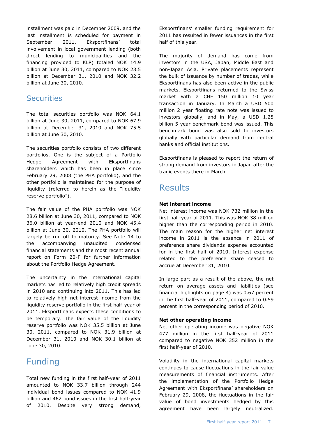installment was paid in December 2009, and the last installment is scheduled for payment in September 2011. Eksportfinans' total involvement in local government lending (both direct lending to municipalities and the financing provided to KLP) totaled NOK 14.9 billion at June 30, 2011, compared to NOK 23.5 billion at December 31, 2010 and NOK 32.2 billion at June 30, 2010.

## **Securities**

The total securities portfolio was NOK 64.1 billion at June 30, 2011, compared to NOK 67.9 billion at December 31, 2010 and NOK 75.5 billion at June 30, 2010.

The securities portfolio consists of two different portfolios. One is the subject of a Portfolio Hedge Agreement with Eksportfinans shareholders which has been in place since February 29, 2008 (the PHA portfolio), and the other portfolio is maintained for the purpose of liquidity (referred to herein as the "liquidity reserve portfolio").

The fair value of the PHA portfolio was NOK 28.6 billion at June 30, 2011, compared to NOK 36.0 billion at year-end 2010 and NOK 45.4 billion at June 30, 2010. The PHA portfolio will largely be run off to maturity. See Note 14 to the accompanying unaudited condensed financial statements and the most recent annual report on Form 20-F for further information about the Portfolio Hedge Agreement.

The uncertainty in the international capital markets has led to relatively high credit spreads in 2010 and continuing into 2011. This has led to relatively high net interest income from the liquidity reserve portfolio in the first half-year of 2011. Eksportfinans expects these conditions to be temporary. The fair value of the liquidity reserve portfolio was NOK 35.5 billion at June 30, 2011, compared to NOK 31.9 billion at December 31, 2010 and NOK 30.1 billion at June 30, 2010.

# Funding

Total new funding in the first half-year of 2011 amounted to NOK 33.7 billion through 244 individual bond issues compared to NOK 41.9 billion and 462 bond issues in the first half-year of 2010. Despite very strong demand,

Eksportfinans' smaller funding requirement for 2011 has resulted in fewer issuances in the first half of this year.

The majority of demand has come from investors in the USA, Japan, Middle East and non-Japan Asia. Private placements represent the bulk of issuance by number of trades, while Eksportfinans has also been active in the public markets. Eksportfinans returned to the Swiss market with a CHF 150 million 10 year transaction in January. In March a USD 500 million 2 year floating rate note was issued to investors globally, and in May, a USD 1.25 billion 5 year benchmark bond was issued. This benchmark bond was also sold to investors globally with particular demand from central banks and official institutions.

Eksportfinans is pleased to report the return of strong demand from investors in Japan after the tragic events there in March.

## Results

#### **Net interest income**

Net interest income was NOK 732 million in the first half-year of 2011. This was NOK 38 million higher than the corresponding period in 2010. The main reason for the higher net interest income in 2011 is the absence in 2011 of preference share dividends expense accounted for in the first half of 2010. Interest expense related to the preference share ceased to accrue at December 31, 2010.

In large part as a result of the above, the net return on average assets and liabilities (see financial highlights on page 4) was 0.67 percent in the first half-year of 2011, compared to 0.59 percent in the corresponding period of 2010.

#### **Net other operating income**

Net other operating income was negative NOK 477 million in the first half-year of 2011 compared to negative NOK 352 million in the first half-year of 2010.

Volatility in the international capital markets continues to cause fluctuations in the fair value measurements of financial instruments. After the implementation of the Portfolio Hedge Agreement with Eksportfinans' shareholders on February 29, 2008, the fluctuations in the fair value of bond investments hedged by this agreement have been largely neutralized.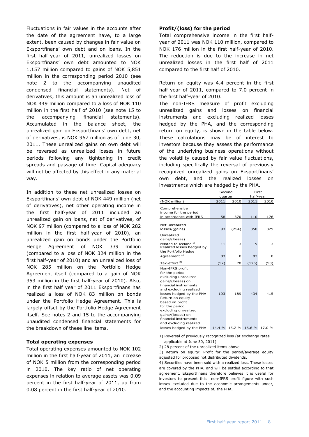Fluctuations in fair values in the accounts after the date of the agreement have, to a large extent, been caused by changes in fair value on Eksportfinans' own debt and on loans. In the first half-year of 2011, unrealized losses on Eksportfinans' own debt amounted to NOK 1,157 million compared to gains of NOK 5,851 million in the corresponding period 2010 (see note 2 to the accompanying unaudited condensed financial statements). Net of derivatives, this amount is an unrealized loss of NOK 449 million compared to a loss of NOK 110 million in the first half of 2010 (see note 15 to the accompanying financial statements). Accumulated in the balance sheet, the unrealized gain on Eksportfinans' own debt, net of derivatives, is NOK 967 million as of June 30, 2011. These unrealized gains on own debt will be reversed as unrealized losses in future periods following any tightening in credit spreads and passage of time. Capital adequacy will not be affected by this effect in any material way.

In addition to these net unrealized losses on Eksportfinans' own debt of NOK 449 million (net of derivatives), net other operating income in the first half-year of 2011 included an unrealized gain on loans, net of derivatives, of NOK 97 million (compared to a loss of NOK 282 million in the first half-year of 2010), an unrealized gain on bonds under the Portfolio Hedge Agreement of NOK 339 million (compared to a loss of NOK 324 million in the first half-year of 2010) and an unrealized loss of NOK 285 million on the Portfolio Hedge Agreement itself (compared to a gain of NOK 353 million in the first half-year of 2010). Also, in the first half year of 2011 Eksportfinans has realized a loss of NOK 83 million on bonds under the Portfolio Hedge Agreement. This is largely offset by the Portfolio Hedge Agreement itself. See notes 2 and 15 to the accompanying unaudited condensed financial statements for the breakdown of these line items.

#### **Total operating expenses**

Total operating expenses amounted to NOK 102 million in the first half-year of 2011, an increase of NOK 5 million from the corresponding period in 2010. The key ratio of net operating expenses in relation to average assets was 0.09 percent in the first half-year of 2011, up from 0.08 percent in the first half-year of 2010.

#### **Profit/(loss) for the period**

Total comprehensive income in the first halfyear of 2011 was NOK 110 million, compared to NOK 176 million in the first half-year of 2010. The reduction is due to the increase in net unrealized losses in the first half of 2011 compared to the first half of 2010.

Return on equity was 4.4 percent in the first half-year of 2011, compared to 7.0 percent in the first half-year of 2010.

The non-IFRS measure of profit excluding unrealized gains and losses on financial instruments and excluding realized losses hedged by the PHA, and the corresponding return on equity, is shown in the table below. These calculations may be of interest to investors because they assess the performance of the underlying business operations without the volatility caused by fair value fluctuations, including specifically the reversal of previously recognized unrealized gains on Eksportfinans' own debt, and the realized losses on investments which are hedged by the PHA.

|                                                                                                                                                       | Second  |        |           | First  |  |  |
|-------------------------------------------------------------------------------------------------------------------------------------------------------|---------|--------|-----------|--------|--|--|
|                                                                                                                                                       | quarter |        | half-year |        |  |  |
| (NOK million)                                                                                                                                         | 2011    | 2010   | 2011      | 2010   |  |  |
| Comprehensive<br>income for the period                                                                                                                |         |        |           |        |  |  |
| in accordance with IFRS                                                                                                                               | 58      | 370    | 110       | 176    |  |  |
| Net unrealized<br>losses/(gains)                                                                                                                      | 93      | (254)  | 358       | 329    |  |  |
| Unrealized<br>gains/(losses)<br>related to Iceland <sup>1)</sup><br>Realized losses hedged by<br>the Portfolio Hedge                                  | 11      | 3      | 9         | 3      |  |  |
| Agreement <sup>4)</sup>                                                                                                                               | 83      | 0      | 83        | 0      |  |  |
| Tax-effect <sup>2)</sup>                                                                                                                              | (52)    | 70     | (126)     | (93)   |  |  |
| Non-IFRS profit<br>for the period<br>excluding unrealized<br>gains/(losses) on<br>financial instruments<br>and excluding realized                     |         |        |           |        |  |  |
| losses hedged by the PHA                                                                                                                              | 193     | 189    | 434       | 415    |  |  |
| Return on equity<br>based on profit<br>for the period<br>excluding unrealized<br>gains/(losses) on<br>financial instruments<br>and excluding realized |         |        |           |        |  |  |
| losses hedged by the PHA                                                                                                                              | 14.4 %  | 15.2 % | 16.6 %    | 17.0 % |  |  |

1) Reversal of previously recognized loss (at exchange rates applicable at June 30, 2011)

2) 28 percent of the unrealized items above

3) Return on equity: Profit for the period/average equity adjusted for proposed not distributed dividends.

4) Securities have been sold with a realized loss. These losses are covered by the PHA, and will be settled according to that agreement. Eksportfinans therefore believes it is useful for investors to present this non-IFRS profit figure with such losses excluded due to the economic arrangements under, and the accounting impacts of, the PHA.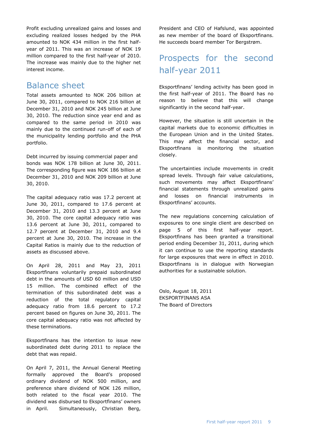Profit excluding unrealized gains and losses and excluding realized losses hedged by the PHA amounted to NOK 434 million in the first halfyear of 2011. This was an increase of NOK 19 million compared to the first half-year of 2010. The increase was mainly due to the higher net interest income.

## Balance sheet

Total assets amounted to NOK 206 billion at June 30, 2011, compared to NOK 216 billion at December 31, 2010 and NOK 245 billion at June 30, 2010. The reduction since year end and as compared to the same period in 2010 was mainly due to the continued run-off of each of the municipality lending portfolio and the PHA portfolio.

Debt incurred by issuing commercial paper and bonds was NOK 178 billion at June 30, 2011. The corresponding figure was NOK 186 billion at December 31, 2010 and NOK 209 billion at June 30, 2010.

The capital adequacy ratio was 17.2 percent at June 30, 2011, compared to 17.6 percent at December 31, 2010 and 13.3 percent at June 30, 2010. The core capital adequacy ratio was 13.6 percent at June 30, 2011, compared to 12.7 percent at December 31, 2010 and 9.4 percent at June 30, 2010. The increase in the Capital Ratios is mainly due to the reduction of assets as discussed above.

On April 28, 2011 and May 23, 2011 Eksportfinans voluntarily prepaid subordinated debt in the amounts of USD 60 million and USD 15 million. The combined effect of the termination of this subordinated debt was a reduction of the total regulatory capital adequacy ratio from 18.6 percent to 17.2 percent based on figures on June 30, 2011. The core capital adequacy ratio was not affected by these terminations.

Eksportfinans has the intention to issue new subordinated debt during 2011 to replace the debt that was repaid.

On April 7, 2011, the Annual General Meeting formally approved the Board's proposed ordinary dividend of NOK 500 million, and preference share dividend of NOK 126 million, both related to the fiscal year 2010. The dividend was disbursed to Eksportfinans' owners in April. Simultaneously, Christian Berg,

President and CEO of Hafslund, was appointed as new member of the board of Eksportfinans. He succeeds board member Tor Bergstrøm.

# Prospects for the second half-year 2011

Eksportfinans' lending activity has been good in the first half-year of 2011. The Board has no reason to believe that this will change significantly in the second half-year.

However, the situation is still uncertain in the capital markets due to economic difficulties in the European Union and in the United States. This may affect the financial sector, and Eksportfinans is monitoring the situation closely.

The uncertainties include movements in credit spread levels. Through fair value calculations, such movements may affect Eksportfinans' financial statements through unrealized gains and losses on financial instruments in Eksportfinans' accounts.

The new regulations concerning calculation of exposures to one single client are described on page 5 of this first half-year report. Eksportfinans has been granted a transitional period ending December 31, 2011, during which it can continue to use the reporting standards for large exposures that were in effect in 2010. Eksportfinans is in dialogue with Norwegian authorities for a sustainable solution.

Oslo, August 18, 2011 EKSPORTFINANS ASA The Board of Directors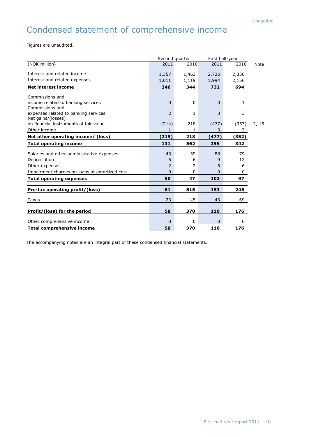# Condensed statement of comprehensive income

Figures are unaudited.

|                                                            | Second quarter |       | First half-year |              |             |
|------------------------------------------------------------|----------------|-------|-----------------|--------------|-------------|
| (NOK million)                                              | 2011           | 2010  | 2011            | 2010         | <b>Note</b> |
| Interest and related income                                | 1,357          | 1,463 | 2,726           | 2,850        |             |
| Interest and related expenses                              | 1,011          | 1,119 | 1,994           | 2,156        |             |
| <b>Net interest income</b>                                 | 346            | 344   | 732             | 694          |             |
| Commissions and                                            |                |       |                 |              |             |
| income related to banking services<br>Commissions and      | $\Omega$       | 0     | 0               | 1            |             |
| expenses related to banking services<br>Net gains/(losses) | 2              | 1     | 3               | 3            |             |
| on financial instruments at fair value                     | (214)          | 218   | (477)           | (353)        | 2, 15       |
| Other income                                               | 1              | 1     | 3               | 3            |             |
| Net other operating income/ (loss)                         | (215)          | 218   | (477)           | <u>(352)</u> |             |
| <b>Total operating income</b>                              | 131            | 562   | 255             | 342          |             |
| Salaries and other administrative expenses                 | 43             | 39    | 88              | 79           |             |
| Depreciation                                               | 5              | 6     | 9               | 12           |             |
| Other expenses                                             | 2              | 2     | 5               | 6            |             |
| Impairment charges on loans at amortized cost              | $\Omega$       | 0     | 0               | 0            |             |
| <b>Total operating expenses</b>                            | 50             | 47    | 102             | 97           |             |
| Pre-tax operating profit/(loss)                            | 81             | 515   | 153             | 245          |             |
|                                                            |                |       |                 |              |             |
| Taxes                                                      | 23             | 145   | 43              | 69           |             |
| Profit/(loss) for the period                               | 58             | 370   | 110             | 176          |             |
| Other comprehensive income                                 | $\Omega$       | 0     | 0               | $\mathbf{0}$ |             |
| Total comprehensive income                                 | 58             | 370   | 110             | 176          |             |

The accompanying notes are an integral part of these condensed financial statements.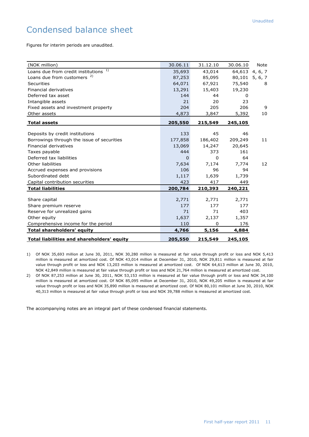# Condensed balance sheet

Figures for interim periods are unaudited.

| (NOK million)                              | 30.06.11 | 31.12.10 | 30.06.10       | <b>Note</b>    |
|--------------------------------------------|----------|----------|----------------|----------------|
| Loans due from credit institutions 1)      | 35,693   | 43,014   |                | 64,613 4, 6, 7 |
| Loans due from customers <sup>2)</sup>     | 87,253   | 85,095   | 80,101 5, 6, 7 |                |
| <b>Securities</b>                          | 64,071   | 67,921   | 75,540         | 8              |
| Financial derivatives                      | 13,291   | 15,403   | 19,230         |                |
| Deferred tax asset                         | 144      | 44       | 0              |                |
| Intangible assets                          | 21       | 20       | 23             |                |
| Fixed assets and investment property       | 204      | 205      | 206            | 9              |
| Other assets                               | 4,873    | 3,847    | 5,392          | 10             |
| <b>Total assets</b>                        | 205,550  | 215,549  | 245,105        |                |
|                                            |          |          |                |                |
| Deposits by credit institutions            | 133      | 45       | 46             |                |
| Borrowings through the issue of securities | 177,858  | 186,402  | 209,249        | 11             |
| Financial derivatives                      | 13,069   | 14,247   | 20,645         |                |
| Taxes payable                              | 444      | 373      | 161            |                |
| Deferred tax liabilities                   | $\Omega$ | 0        | 64             |                |
| Other liabilities                          | 7,634    | 7,174    | 7,774          | 12             |
| Accrued expenses and provisions            | 106      | 96       | 94             |                |
| Subordinated debt                          | 1,117    | 1,639    | 1,739          |                |
| Capital contribution securities            | 423      | 417      | 449            |                |
| <b>Total liabilities</b>                   | 200,784  | 210,393  | 240,221        |                |
|                                            |          |          |                |                |
| Share capital                              | 2,771    | 2,771    | 2,771          |                |
| Share premium reserve                      | 177      | 177      | 177            |                |
| Reserve for unrealized gains               | 71       | 71       | 403            |                |
| Other equity                               | 1,637    | 2,137    | 1,357          |                |
| Comprehensive income for the period        | 110      | 0        | 176            |                |
| <b>Total shareholders' equity</b>          | 4,766    | 5,156    | 4,884          |                |
| Total liabilities and shareholders' equity | 205,550  | 215,549  | 245,105        |                |

1) Of NOK 35,693 million at June 30, 2011, NOK 30,280 million is measured at fair value through profit or loss and NOK 5,413 million is measured at amortized cost. Of NOK 43,014 million at December 31, 2010, NOK 29,811 million is measured at fair value through profit or loss and NOK 13,203 million is measured at amortized cost. Of NOK 64,613 million at June 30, 2010, NOK 42,849 million is measured at fair value through profit or loss and NOK 21,764 million is measured at amortized cost.

2) Of NOK 87,253 million at June 30, 2011, NOK 53,153 million is measured at fair value through profit or loss and NOK 34,100 million is measured at amortized cost. Of NOK 85,095 million at December 31, 2010, NOK 49,205 million is measured at fair value through profit or loss and NOK 35,890 million is measured at amortized cost. Of NOK 80,101 million at June 30, 2010, NOK 40,313 million is measured at fair value through profit or loss and NOK 39,788 million is measured at amortized cost.

The accompanying notes are an integral part of these condensed financial statements.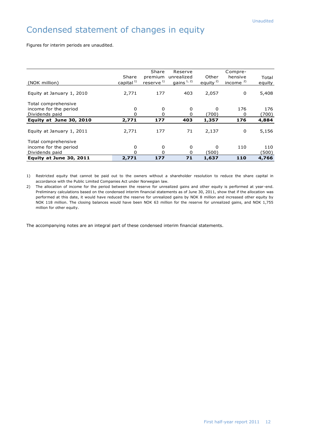# Condensed statement of changes in equity

Figures for interim periods are unaudited.

|                           |                 | Share                   | Reserve      |            | Compre-    |        |
|---------------------------|-----------------|-------------------------|--------------|------------|------------|--------|
|                           | Share           | premium                 | unrealized   | Other      | hensive    | Total  |
| (NOK million)             | capital $^{1)}$ | $reserve$ <sup>1)</sup> | gains $1, 2$ | equity $2$ | income $2$ | equity |
|                           |                 |                         |              |            |            |        |
| Equity at January 1, 2010 | 2,771           | 177                     | 403          | 2,057      | 0          | 5,408  |
|                           |                 |                         |              |            |            |        |
| Total comprehensive       |                 |                         |              |            |            |        |
| income for the period     | 0               | 0                       | 0            | 0          | 176        | 176    |
| Dividends paid            | 0               | 0                       | 0            | (700)      | 0          | (700)  |
| Equity at June 30, 2010   | 2,771           | 177                     | 403          | 1,357      | 176        | 4,884  |
|                           |                 |                         |              |            |            |        |
| Equity at January 1, 2011 | 2,771           | 177                     | 71           | 2,137      | 0          | 5,156  |
|                           |                 |                         |              |            |            |        |
| Total comprehensive       |                 |                         |              |            |            |        |
| income for the period     | 0               | 0                       | 0            | 0          | 110        | 110    |
| Dividends paid            | $\Omega$        | <sup>0</sup>            |              | (500)      |            | 500)   |
| Equity at June 30, 2011   | 2,771           | 177                     | 71           | 1,637      | 110        | 4,766  |

1) Restricted equity that cannot be paid out to the owners without a shareholder resolution to reduce the share capital in accordance with the Public Limited Companies Act under Norwegian law.

2) The allocation of income for the period between the reserve for unrealized gains and other equity is performed at year -end. Preliminary calculations based on the condensed interim financial statements as of June 30, 2011, show that if the allocation was performed at this date, it would have reduced the reserve for unrealized gains by NOK 8 million and increased other equity by NOK 118 million. The closing balances would have been NOK 63 million for the reserve for unrealized gains, and NOK 1,755 million for other equity.

The accompanying notes are an integral part of these condensed interim financial statements.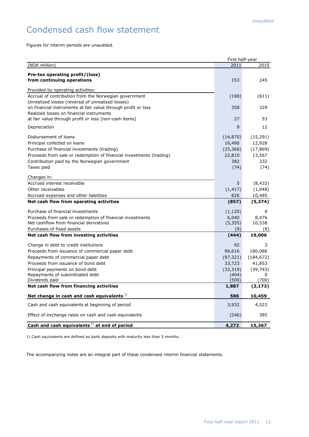# Condensed cash flow statement

Figures for interim periods are unaudited.

|                                                                                                                                                                                                                                            | First half-year                                           |                                                           |
|--------------------------------------------------------------------------------------------------------------------------------------------------------------------------------------------------------------------------------------------|-----------------------------------------------------------|-----------------------------------------------------------|
| (NOK million)                                                                                                                                                                                                                              | 2011                                                      | 2010                                                      |
| Pre-tax operating profit/(loss)<br>from continuing operations                                                                                                                                                                              | 153                                                       | 245                                                       |
| Provided by operating activities:                                                                                                                                                                                                          |                                                           |                                                           |
| Accrual of contribution from the Norwegian government                                                                                                                                                                                      | (190)                                                     | (611)                                                     |
| Unrealized losses (reversal of unrealized losses)<br>on financial instruments at fair value through profit or loss<br>Realized losses on financial instruments                                                                             | 358                                                       | 329                                                       |
| at fair value through profit or loss [non-cash items]                                                                                                                                                                                      | 27                                                        | 53                                                        |
| Depreciation                                                                                                                                                                                                                               | 9                                                         | 12                                                        |
| Disbursement of loans<br>Principal collected on loans<br>Purchase of financial investments (trading)<br>Proceeds from sale or redemption of financial investments (trading)<br>Contribution paid by the Norwegian government<br>Taxes paid | (14, 870)<br>16,490<br>(25, 366)<br>22,810<br>382<br>(74) | (15, 291)<br>12,928<br>(17, 869)<br>13,567<br>332<br>(74) |
| Changes in:                                                                                                                                                                                                                                |                                                           |                                                           |
| Accrued interest receivable<br>Other receivables                                                                                                                                                                                           | 5<br>(1, 417)                                             | (8, 432)<br>(1,048)                                       |
| Accrued expenses and other liabilities                                                                                                                                                                                                     | 826                                                       | 10,485                                                    |
| Net cash flow from operating activities                                                                                                                                                                                                    | (857)                                                     | (5, 374)                                                  |
| Purchase of financial investments                                                                                                                                                                                                          | (1, 120)                                                  | 0                                                         |
| Proceeds from sale or redemption of financial investments                                                                                                                                                                                  | 6,040                                                     | 8,476                                                     |
| Net cashflow from financial derivatives                                                                                                                                                                                                    | (5, 355)                                                  | 10,538                                                    |
| Purchases of fixed assets                                                                                                                                                                                                                  | (9)                                                       | (8)                                                       |
| Net cash flow from investing activities                                                                                                                                                                                                    | (444)                                                     | 19,006                                                    |
| Change in debt to credit institutions                                                                                                                                                                                                      | 92                                                        | 3                                                         |
| Proceeds from issuance of commercial paper debt                                                                                                                                                                                            | 99,616                                                    | 180,086                                                   |
| Repayments of commercial paper debt                                                                                                                                                                                                        | (97, 321)                                                 | (184, 672)                                                |
| Proceeds from issuance of bond debt                                                                                                                                                                                                        | 33,723                                                    | 41,853                                                    |
| Principal payments on bond debt                                                                                                                                                                                                            | (33, 319)                                                 | (39, 743)                                                 |
| Repayments of subordinated debt                                                                                                                                                                                                            | (404)                                                     | 0                                                         |
| Dividends paid                                                                                                                                                                                                                             | (500)                                                     | (700)                                                     |
| Net cash flow from financing activities                                                                                                                                                                                                    | 1,887                                                     | (3, 173)                                                  |
| Net change in cash and cash equivalents $1$ )                                                                                                                                                                                              | 586                                                       | 10,459                                                    |
| Cash and cash equivalents at beginning of period                                                                                                                                                                                           | 3,932                                                     | 4,523                                                     |
| Effect of exchange rates on cash and cash equivalents                                                                                                                                                                                      | (246)                                                     | 385                                                       |
| Cash and cash equivalents $^{1)}$ at end of period                                                                                                                                                                                         | 4,272                                                     | 15,367                                                    |

1) Cash equivalents are defined as bank deposits with maturity less than 3 months.

The accompanying notes are an integral part of these condensed interim financial statements.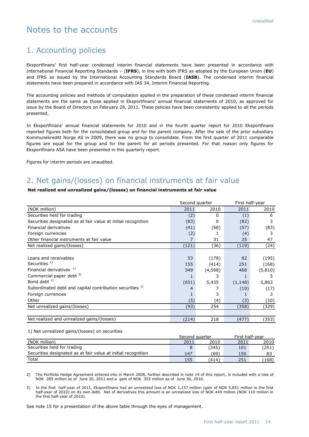## Notes to the accounts

## 1. Accounting policies

Eksportfinans' first half-year condensed interim financial statements have been presented in accordance with International Financial Reporting Standards – (**IFRS**), in line with both IFRS as adopted by the European Union (**EU**) and IFRS as issued by the International Accounting Standards Board (**IASB**). The condensed interim financial statements have been prepared in accordance with IAS 34, Interim Financial Reporting.

The accounting policies and methods of computation applied in the preparation of these condensed interim financial statements are the same as those applied in Eksportfinans' annual financial statements of 2010, as approved for issue by the Board of Directors on February 28, 2011. These policies have been consistently applied to all the periods presented.

In Eksportfinans' annual financial statements for 2010 and in the fourth quarter report for 2010 Eksportfinans reported figures both for the consolidated group and for the parent company. After the sale of the prior subsidiary Kommunekreditt Norge AS in 2009, there was no group to consolidate. From the first quarter of 2011 comparable figures are equal for the group and for the parent for all periods presented. For that reason only figures for Eksportfinans ASA have been presented in this quarterly report.

Figures for interim periods are unaudited.

## 2. Net gains/(losses) on financial instruments at fair value

#### **Net realized and unrealized gains/(losses) on financial instruments at fair value**

|                                                                     | Second quarter |         | First half-year |         |
|---------------------------------------------------------------------|----------------|---------|-----------------|---------|
| (NOK million)                                                       | 2011           | 2010    | 2011            | 2010    |
| Securities held for trading                                         | (2)            | 0       | (1)             | 6       |
| Securities designated as at fair value at initial recognition       | (83)           | 0       | (82)            | 3       |
| Financial derivatives                                               | (41)           | (68)    | (57)            | (83)    |
| Foreign currencies                                                  | (2)            |         | (4)             | 3       |
| Other financial instruments at fair value                           | 7              | 31      | 25              | 47      |
| Net realized gains/(losses)                                         | (121)          | (36)    | (119)           | (24)    |
|                                                                     |                |         |                 |         |
| Loans and receivables                                               | 53             | (178)   | 82              | (195)   |
| Securities $1$                                                      | 155            | (414)   | 251             | (168)   |
| Financial derivatives <sup>2)</sup>                                 | 349            | (4,598) | 468             | (5,810) |
| Commercial paper debt 3)                                            |                | 3       |                 | 5       |
| Bond debt <sup>3)</sup>                                             | (651)          | 5,435   | (1, 148)        | 5,863   |
| Subordinated debt and capital contribution securities <sup>3)</sup> | 4              |         | (10)            | (17)    |
| Foreign currencies                                                  |                | 3       |                 | 3       |
| Other                                                               | (5)            | (4)     | (3)             | (10)    |
| Net unrealized gains/(losses)                                       | (93)           | 254     | (358)           | (329)   |
|                                                                     |                |         |                 |         |
| Net realized and unrealized gains/(losses)                          | (214)          | 218     | (477)           | (353)   |

1) Net unrealized gains/(losses) on securities

|                                                               | Second quarter |       | First half-year |       |
|---------------------------------------------------------------|----------------|-------|-----------------|-------|
| (NOK million)                                                 | 2011           | 2010  | 2011            | 2010  |
| Securities held for trading                                   |                | (345) | 101             | (251) |
| Securities designated as at fair value at initial recognition | 147            | (69   | 150             | 83    |
| Total                                                         | 155            | (414) | 251             | (168) |

2) The Portfolio Hedge Agreement entered into in March 2008, further described in note 14 of this report, is included with a loss of NOK 285 million as of June 30, 2011 and a gain of NOK 353 million as of June 30, 2010.

3) In the first half-year of 2011, Eksportfinans had an unrealized loss of NOK 1,157 million (gain of NOK 5,851 million in the first half-year of 2010) on its own debt. Net of derivatives this amount is an unrealized loss of NOK 449 million (NOK 110 million in the first half-year of 2010).

See note 15 for a presentation of the above table through the eyes of management.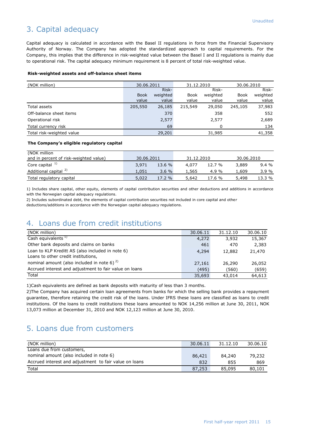## 3. Capital adequacy

Capital adequacy is calculated in accordance with the Basel II regulations in force from the Financial Supervisory Authority of Norway. The Company has adopted the standardized approach to capital requirements. For the Company, this implies that the difference in risk-weighted value between the Basel I and II regulations is mainly due to operational risk. The capital adequacy minimum requirement is 8 percent of total risk-weighted value.

#### **Risk-weighted assets and off-balance sheet items**

| (NOK million)             | 30.06.2011  |          | 31.12.2010 |          | 30.06.2010  |          |
|---------------------------|-------------|----------|------------|----------|-------------|----------|
|                           |             | Risk-    |            | Risk-    |             | Risk-    |
|                           | <b>Book</b> | weighted | Book       | weighted | <b>Book</b> | weighted |
|                           | value       | value    | value      | value    | value       | value    |
| Total assets              | 205,550     | 26,185   | 215,549    | 29,050   | 245,105     | 37,983   |
| Off-balance sheet items   |             | 370      |            | 358      |             | 552      |
| Operational risk          |             | 2,577    |            | 2,577    |             | 2,689    |
| Total currency risk       |             | 69       |            | 0        |             | 134      |
| Total risk-weighted value |             | 29,201   |            | 31,985   |             | 41,358   |

#### **The Company's eligible regulatory capital**

| (NOK million                           |            |        |            |          |            |         |
|----------------------------------------|------------|--------|------------|----------|------------|---------|
| and in percent of risk-weighted value) | 30.06.2011 |        | 31.12.2010 |          | 30.06.2010 |         |
| Core capital $1$                       | 3,971      | 13.6 % | 4,077      | 12.7%    | 3,889      | $9.4\%$ |
| Additional capital <sup>2)</sup>       | 1.051      | 3.6%   | 1,565      | 4.9 $\%$ | 1.609      | 3.9%    |
| Total regulatory capital               | 5,022      | 17.2 % | 5,642      | 17.6 %   | 5,498      | 13.3 %  |

1) Includes share capital, other equity, elements of capital contribution securities and other deductions and additions in accordance with the Norwegian capital adequacy regulations.

2) Includes subordinated debt, the elements of capital contribution securities not included in core capital and other deductions/additions in accordance with the Norwegian capital adequacy regulations.

## 4. Loans due from credit institutions

| (NOK million)                                          | 30.06.11 | 31.12.10 | 30.06.10 |
|--------------------------------------------------------|----------|----------|----------|
| Cash equivalents <sup>17</sup>                         | 4,272    | 3,932    | 15,367   |
| Other bank deposits and claims on banks                | 461      | 470      | 2,383    |
| Loan to KLP Kreditt AS (also included in note 6)       | 4,294    | 12,882   | 21,470   |
| Loans to other credit institutions,                    |          |          |          |
| nominal amount (also included in note 6) $^{2}$        | 27,161   | 26,290   | 26,052   |
| Accrued interest and adjustment to fair value on loans | (495)    | (560)    | (659)    |
| Total                                                  | 35,693   | 43,014   | 64,613   |

1)Cash equivalents are defined as bank deposits with maturity of less than 3 months.

2)The Company has acquired certain loan agreements from banks for which the selling bank provides a repayment guarantee, therefore retaining the credit risk of the loans. Under IFRS these loans are classified as loans to credit institutions. Of the loans to credit institutions these loans amounted to NOK 14,256 million at June 30, 2011, NOK 13,073 million at December 31, 2010 and NOK 12,123 million at June 30, 2010.

## 5. Loans due from customers

| (NOK million)                                          | 30.06.11 | 31.12.10 | 30.06.10 |
|--------------------------------------------------------|----------|----------|----------|
| Loans due from customers,                              |          |          |          |
| nominal amount (also included in note 6)               | 86,421   | 84,240   | 79,232   |
| Accrued interest and adjustment to fair value on loans | 832      | 855      | 869      |
| Total                                                  | 87,253   | 85,095   | 80,101   |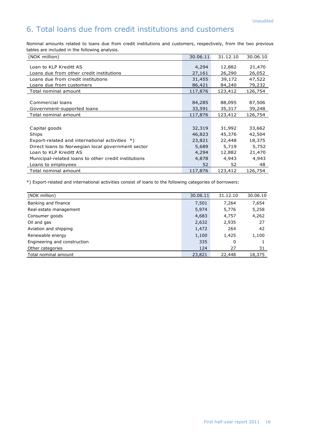## 6. Total loans due from credit institutions and customers

Nominal amounts related to loans due from credit institutions and customers, respectively, from the two previous tables are included in the following analysis.

| (NOK million)                                                            | 30.06.11                   | 31.12.10                   | 30.06.10                   |
|--------------------------------------------------------------------------|----------------------------|----------------------------|----------------------------|
| Loan to KLP Kreditt AS<br>Loans due from other credit institutions       | 4,294<br>27,161            | 12,882<br>26,290           | 21,470<br>26,052           |
| Loans due from credit institutions                                       | 31,455                     | 39,172                     | 47,522                     |
| Loans due from customers                                                 | 86,421                     | 84,240                     | 79,232                     |
| Total nominal amount                                                     | 117,876                    | 123,412                    | 126,754                    |
| Commercial loans<br>Government-supported loans                           | 84,285<br>33,591           | 88,095<br>35,317           | 87,506<br>39,248           |
| Total nominal amount                                                     | 117,876                    | 123,412                    | 126,754                    |
| Capital goods<br>Ships<br>Export-related and international activities *) | 32,319<br>46,823<br>23,821 | 31,992<br>45,376<br>22,448 | 33,662<br>42,504<br>18,375 |
| Direct loans to Norwegian local government sector                        | 5,689                      | 5,719                      | 5,752                      |
| Loan to KLP Kreditt AS                                                   | 4,294                      | 12,882                     | 21,470                     |
| Municipal-related loans to other credit institutions                     | 4,878                      | 4,943                      | 4,943                      |
| Loans to employees                                                       | 52                         | 52                         | 48                         |
| Total nominal amount                                                     | 117,876                    | 123,412                    | 126,754                    |

\*) Export-related and international activities consist of loans to the following categories of borrowers:

| (NOK million)                | 30.06.11 | 31.12.10 | 30.06.10 |
|------------------------------|----------|----------|----------|
| Banking and finance          | 7,501    | 7,264    | 7,654    |
| Real estate management       | 5,974    | 5,776    | 5,258    |
| Consumer goods               | 4,683    | 4,757    | 4,262    |
| Oil and gas                  | 2,632    | 2,935    | 27       |
| Aviation and shipping        | 1,472    | 264      | 42       |
| Renewable energy             | 1,100    | 1,425    | 1,100    |
| Engineering and construction | 335      | 0        |          |
| Other categories             | 124      | 27       | 31       |
| Total nominal amount         | 23,821   | 22,448   | 18,375   |
|                              |          |          |          |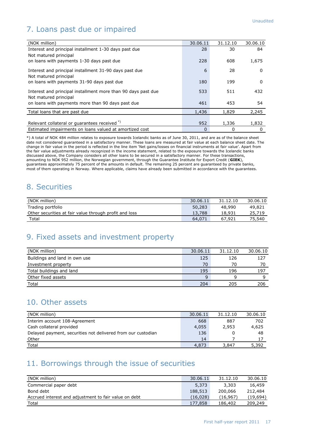# 7. Loans past due or impaired

| (NOK million)                                                 | 30.06.11 | 31.12.10 | 30.06.10 |
|---------------------------------------------------------------|----------|----------|----------|
| Interest and principal installment 1-30 days past due         | 28       | 30       | 84       |
| Not matured principal                                         |          |          |          |
| on loans with payments 1-30 days past due                     | 228      | 608      | 1,675    |
| Interest and principal installment 31-90 days past due        | 6        | 28       | $\Omega$ |
| Not matured principal                                         |          |          |          |
| on loans with payments 31-90 days past due                    | 180      | 199      | $\Omega$ |
| Interest and principal installment more than 90 days past due | 533      | 511      | 432      |
| Not matured principal                                         |          |          |          |
| on loans with payments more than 90 days past due             | 461      | 453      | 54       |
|                                                               |          |          |          |
| Total loans that are past due                                 | 1,436    | 1,829    | 2,245    |
|                                                               |          |          |          |
| Relevant collateral or guarantees received *)                 | 952      | 1,336    | 1,832    |
| Estimated impairments on loans valued at amortized cost       | $\Omega$ | 0        | 0        |

\*) A total of NOK 484 million relates to exposure towards Icelandic banks as of June 30, 2011, and are as of the balance sheet date not considered guaranteed in a satisfactory manner. These loans are measured at fair value at each balance sheet date. The change in fair value in the period is reflected in the line item 'Net gains/losses on financial instruments at fair value'. Apart from the fair value adjustments already recognized in the income statement, related to the exposure towards the Icelandic banks discussed above, the Company considers all other loans to be secured in a satisfactory manner. For these transactions, amounting to NOK 952 million, the Norwegian government, through the Guarantee Institute for Export Credit (**GIEK**), guarantees approximately 75 percent of the amounts in default. The remaining 25 percent are guaranteed by private banks, most of them operating in Norway. Where applicable, claims have already been submitted in accordance with the guarantees.

## 8. Securities

| (NOK million)                                          | 30.06.11 | 31.12.10 | 30.06.10 |
|--------------------------------------------------------|----------|----------|----------|
| Trading portfolio                                      | 50,283   | 48,990   | 49,821   |
| Other securities at fair value through profit and loss | 13,788   | 18,931   | 25,719   |
| Total                                                  | 64.071   | 67,921   | 75,540   |

## 9. Fixed assets and investment property

| (NOK million)                 | 30.06.11 | 31.12.10 | 30.06.10 |
|-------------------------------|----------|----------|----------|
| Buildings and land in own use | 125      | 126      | 127      |
| Investment property           | 70       | 70       | 70       |
| Total buildings and land      | 195      | 196      | 197      |
| Other fixed assets            | 9        |          |          |
| Total                         | 204      | 205      | 206      |

## 10. Other assets

| (NOK million)                                                | 30.06.11 | 31.12.10 | 30.06.10 |
|--------------------------------------------------------------|----------|----------|----------|
| Interim account 108-Agreement                                | 668      | 887      | 702      |
| Cash collateral provided                                     | 4,055    | 2,953    | 4,625    |
| Delayed payment, securities not delivered from our custodian | 136      |          | 48       |
| Other                                                        | 14       |          | 17       |
| Total                                                        | 4,873    | 3,847    | 5,392    |

# 11. Borrowings through the issue of securities

| (NOK million)                                         | 30.06.11 | 31.12.10 | 30.06.10  |
|-------------------------------------------------------|----------|----------|-----------|
| Commercial paper debt                                 | 5,373    | 3,303    | 16,459    |
| Bond debt                                             | 188,513  | 200,066  | 212,484   |
| Accrued interest and adjustment to fair value on debt | (16.028) | (16.967) | (19, 694) |
| Total                                                 | 177,858  | 186,402  | 209,249   |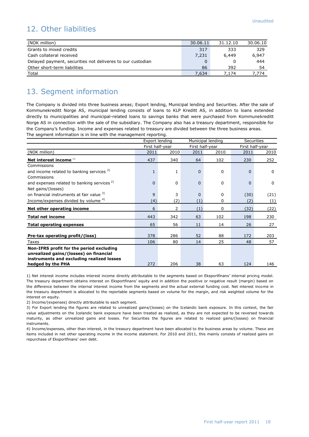## 12. Other liabilities

| (NOK million)                                              | 30.06.11 | 31.12.10 | 30.06.10 |
|------------------------------------------------------------|----------|----------|----------|
| Grants to mixed credits                                    | 317      | 333      | 329      |
| Cash collateral received                                   | 7,231    | 6,449    | 6.947    |
| Delayed payment, securities not deliveres to our custodian | 0        |          | 444      |
| Other short-term liabilities                               | 86       | 392      | 54       |
| Total                                                      | 7,634    | 1.174    | .774     |

## 13. Segment information

The Company is divided into three business areas; Export lending, Municipal lending and Securities. After the sale of Kommunekreditt Norge AS, municipal lending consists of loans to KLP Kreditt AS, in addition to loans extended directly to municipalities and municipal-related loans to savings banks that were purchased from Kommunekreditt Norge AS in connection with the sale of the subsidiary. The Company also has a treasury department, responsible for the Company's funding. Income and expenses related to treasury are divided between the three business areas. The segment information is in line with the management reporting.

|                                                        |                 | Export lending<br>Municipal lending |                 |             | <b>Securities</b> |             |
|--------------------------------------------------------|-----------------|-------------------------------------|-----------------|-------------|-------------------|-------------|
|                                                        | First half-year |                                     | First half-year |             | First half-year   |             |
| (NOK million)                                          | 2011            | 2010                                | 2011            | 2010        | 2011              | 2010        |
| Net interest income <sup>1)</sup>                      | 437             | 340                                 | 64              | 102         | 230               | 252         |
| Commissions                                            |                 |                                     |                 |             |                   |             |
| and income related to banking services $2$             | $\mathbf{1}$    | $\mathbf{1}$                        | $\Omega$        | $\mathbf 0$ | $\Omega$          | $\Omega$    |
| Commissions                                            |                 |                                     |                 |             |                   |             |
| and expenses related to banking services <sup>2)</sup> | $\Omega$        | 0                                   | $\Omega$        | 0           | $\Omega$          | $\mathbf 0$ |
| Net gains/(losses)                                     |                 |                                     |                 |             |                   |             |
| on financial instruments at fair value <sup>3)</sup>   | 9               | 3                                   | $\Omega$        | 0           | (30)              | (21)        |
| Income/expenses divided by volume 4)                   | (4)             | (2)                                 | (1)             | $\Omega$    | (2)               | (1)         |
| Net other operating income                             | 6               | $\overline{2}$                      | (1)             | 0           | (32)              | (22)        |
| <b>Total net income</b>                                | 443             | 342                                 | 63              | 102         | 198               | 230         |
| <b>Total operating expenses</b>                        | 65              | 56                                  | 11              | 14          | 26                | 27          |
|                                                        |                 |                                     |                 |             |                   |             |
| Pre-tax operating profit/(loss)                        | 378             | 286                                 | 52              | 88          | 172               | 203         |
| Taxes                                                  | 106             | 80                                  | 14              | 25          | 48                | 57          |
| Non-IFRS profit for the period excluding               |                 |                                     |                 |             |                   |             |
| unrealized gains/(losses) on financial                 |                 |                                     |                 |             |                   |             |
| instruments and excluding realized losses              |                 |                                     |                 |             |                   |             |
| hedged by the PHA                                      | 272             | 206                                 | 38              | 63          | 124               | 146         |

1) Net interest income includes interest income directly attributable to the segments based on Eksportfinans' internal pricing model. The treasury department obtains interest on Eksportfinans' equity and in addition the positive or negative result (margin) based on the difference between the internal interest income from the segments and the actual external funding cost. Net interest income in the treasury department is allocated to the reportable segments based on volume for the margin, and risk weighted volume for the interest on equity.

2) Income/(expenses) directly attributable to each segment.

3) For Export lending the figures are related to unrealized gains/(losses) on the Icelandic bank exposure. In this context, the fair value adjustments on the Icelandic bank exposure have been treated as realized, as they are not expected to be reversed towards maturity, as other unrealized gains and losses. For Securities the figures are related to realized gains/(losses) on financial instruments.

4) Income/expenses, other than interest, in the treasury department have been allocated to the business areas by volume. These are items included in net other operating income in the income statement. For 2010 and 2011, this mainly consists of realized gains on repurchase of Eksportfinans' own debt.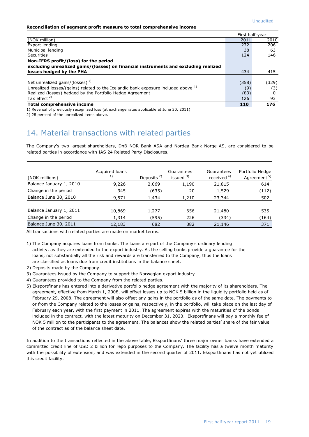#### **Reconciliation of segment profit measure to total comprehensive income**

|                                                                                                                                                                                                                                                                          |       | First half-year |
|--------------------------------------------------------------------------------------------------------------------------------------------------------------------------------------------------------------------------------------------------------------------------|-------|-----------------|
| (NOK million)                                                                                                                                                                                                                                                            | 2011  | 2010            |
| Export lending                                                                                                                                                                                                                                                           | 272   | 206             |
| Municipal lending                                                                                                                                                                                                                                                        | 38    | 63              |
| <b>Securities</b>                                                                                                                                                                                                                                                        | 124   | 146             |
| Non-IFRS profit/(loss) for the period                                                                                                                                                                                                                                    |       |                 |
| excluding unrealized gains/(losses) on financial instruments and excluding realized                                                                                                                                                                                      |       |                 |
| losses hedged by the PHA                                                                                                                                                                                                                                                 | 434   | 415             |
|                                                                                                                                                                                                                                                                          |       |                 |
| Net unrealized gains/(losses) <sup>1)</sup>                                                                                                                                                                                                                              | (358) | (329)           |
| Unrealized losses/(gains) related to the Icelandic bank exposure included above <sup>1)</sup>                                                                                                                                                                            | (9)   | (3)             |
| Realized (losses) hedged by the Portfolio Hedge Agreement                                                                                                                                                                                                                | (83)  | 0               |
| Tax effect $2$ )                                                                                                                                                                                                                                                         | 126   | 93              |
| Total comprehensive income<br>$\mathbf{a} \cdot \mathbf{b}$ , and the contract of the contract of the contract of the contract of the contract of the contract of the contract of the contract of the contract of the contract of the contract of the contract of the co | 110   | 176             |

1) Reversal of previously recognized loss (at exchange rates applicable at June 30, 2011).

2) 28 percent of the unrealized items above.

## 14. Material transactions with related parties

The Company's two largest shareholders, DnB NOR Bank ASA and Nordea Bank Norge AS, are considered to be related parties in accordance with IAS 24 Related Party Disclosures.

| (NOK millions)          | Acquired loans<br>1) | Deposits <sup>2)</sup> | Guarantees<br>issued $3)$ | Guarantees<br>received <sup>4)</sup> | Portfolio Hedge<br>Agreement <sup>5)</sup> |
|-------------------------|----------------------|------------------------|---------------------------|--------------------------------------|--------------------------------------------|
| Balance January 1, 2010 | 9,226                | 2,069                  | 1,190                     | 21,815                               | 614                                        |
| Change in the period    | 345                  | (635)                  | 20                        | 1,529                                | (112)                                      |
| Balance June 30, 2010   | 9,571                | 1,434                  | 1,210                     | 23,344                               | 502                                        |
| Balance January 1, 2011 | 10,869               | 1,277                  | 656                       | 21,480                               | 535                                        |
| Change in the period    | 1,314                | (595)                  | 226                       | (334)                                | (164)                                      |
| Balance June 30, 2011   | 12,183               | 682                    | 882                       | 21,146                               | 371                                        |

All transactions with related parties are made on market terms.

1) The Company acquires loans from banks. The loans are part of the Company's ordinary lending activity, as they are extended to the export industry. As the selling banks provide a guarantee for the loans, not substantially all the risk and rewards are transferred to the Company, thus the loans are classified as loans due from credit institutions in the balance sheet.

- 2) Deposits made by the Company.
- 3) Guarantees issued by the Company to support the Norwegian export industry.
- 4) Guarantees provided to the Company from the related parties.
- 5) Eksportfinans has entered into a derivative portfolio hedge agreement with the majority of its shareholders. The agreement, effective from March 1, 2008, will offset losses up to NOK 5 billion in the liquidity portfolio held as of February 29, 2008. The agreement will also offset any gains in the portfolio as of the same date. The payments to or from the Company related to the losses or gains, respectively, in the portfolio, will take place on the last day of February each year, with the first payment in 2011. The agreement expires with the maturities of the bonds included in the contract, with the latest maturity on December 31, 2023. Eksportfinans will pay a monthly fee of NOK 5 million to the participants to the agreement. The balances show the related parties' share of the fair value of the contract as of the balance sheet date.

In addition to the transactions reflected in the above table, Eksportfinans' three major owner banks have extended a committed credit line of USD 2 billion for repo purposes to the Company. The facility has a twelve month maturity with the possibility of extension, and was extended in the second quarter of 2011. Eksportfinans has not yet utilized this credit facility.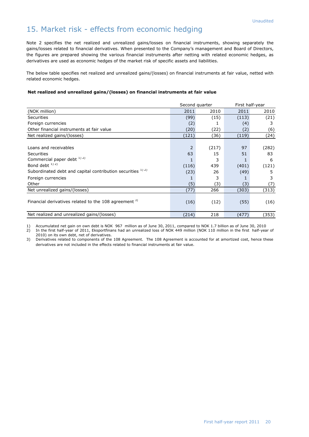## 15. Market risk - effects from economic hedging

Note 2 specifies the net realized and unrealized gains/losses on financial instruments, showing separately the gains/losses related to financial derivatives. When presented to the Company's management and Board of Directors, the figures are prepared showing the various financial instruments after netting with related economic hedges, as derivatives are used as economic hedges of the market risk of specific assets and liabilities.

The below table specifies net realized and unrealized gains/(losses) on financial instruments at fair value, netted with related economic hedges.

#### **Net realized and unrealized gains/(losses) on financial instruments at fair value**

|                                                                  | Second quarter |       | First half-year |       |
|------------------------------------------------------------------|----------------|-------|-----------------|-------|
| (NOK million)                                                    | 2011           | 2010  | 2011            | 2010  |
| <b>Securities</b>                                                | (99)           | (15)  | (113)           | (21)  |
| Foreign currencies                                               | (2)            |       | (4)             | 3     |
| Other financial instruments at fair value                        | (20)           | (22)  | (2)             | (6)   |
| Net realized gains/(losses)                                      | (121)          | (36)  | (119)           | (24)  |
|                                                                  |                |       |                 |       |
| Loans and receivables                                            | $\overline{2}$ | (217) | 97              | (282) |
| <b>Securities</b>                                                | 63             | 15    | 51              | 83    |
| Commercial paper debt $^{1/2}$                                   |                | 3     |                 | 6     |
| Bond debt <sup>1)2)</sup>                                        | (116)          | 439   | (401)           | (121) |
| Subordinated debt and capital contribution securities 1) 2)      | (23)           | 26    | (49)            | 5     |
| Foreign currencies                                               |                | 3     |                 | 3     |
| Other                                                            | (5)            | (3)   | (3)             | (7)   |
| Net unrealized gains/(losses)                                    | (77)           | 266   | (303)           | (313) |
| Financial derivatives related to the 108 agreement <sup>3)</sup> | (16)           | (12)  | (55)            | (16)  |
| Net realized and unrealized gains/(losses)                       | (214)          | 218   | (477)           | (353) |

1) Accumulated net gain on own debt is NOK 967 million as of June 30, 2011, compared to NOK 1.7 billion as of June 30, 2010 2) In the first half-year of 2011, Eksportfinans had an unrealized loss of NOK 449 million (NOK 110 million in the first half-year of 2010) on its own debt, net of derivatives.

3) Derivatives related to components of the 108 Agreement. The 108 Agreement is accounted for at amortized cost, hence these derivatives are not included in the effects related to financial instruments at fair value.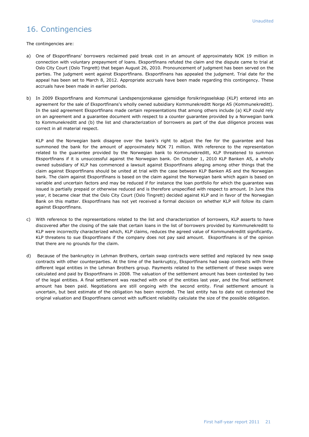## 16. Contingencies

The contingencies are:

- a) One of Eksportfinans' borrowers reclaimed paid break cost in an amount of approximately NOK 19 million in connection with voluntary prepayment of loans. Eksportfinans refuted the claim and the dispute came to trial at Oslo City Court (Oslo Tingrett) that began August 26, 2010. Pronouncement of judgment has been served on the parties. The judgment went against Eksportfinans. Eksportfinans has appealed the judgment. Trial date for the appeal has been set to March 8, 2012. Appropriate accruals have been made regarding this contingency. These accruals have been made in earlier periods.
- b) In 2009 Eksportfinans and Kommunal Landspensjonskasse gjensidige forsikringsselskap (KLP) entered into an agreement for the sale of Eksportfinans's wholly owned subsidiary Kommunekreditt Norge AS (Kommunekreditt). In the said agreement Eksportfinans made certain representations that among others include (a) KLP could rely on an agreement and a guarantee document with respect to a counter guarantee provided by a Norwegian bank to Kommunekreditt and (b) the list and characterization of borrowers as part of the due diligence process was correct in all material respect.

KLP and the Norwegian bank disagree over the bank's right to adjust the fee for the guarantee and has summoned the bank for the amount of approximately NOK 71 million. With reference to the representation related to the guarantee provided by the Norwegian bank to Kommunekreditt, KLP threatened to summon Eksportfinans if it is unsuccessful against the Norwegian bank. On October 1, 2010 KLP Banken AS, a wholly owned subsidiary of KLP has commenced a lawsuit against Eksportfinans alleging among other things that the claim against Eksportfinans should be united at trial with the case between KLP Banken AS and the Norwegian bank. The claim against Eksportfinans is based on the claim against the Norwegian bank which again is based on variable and uncertain factors and may be reduced if for instance the loan portfolio for which the guarantee was issued is partially prepaid or otherwise reduced and is therefore unspecified with respect to amount. In June this year, it became clear that the Oslo City Court (Oslo Tingrett) decided against KLP and in favor of the Norwegian Bank on this matter. Eksportfinans has not yet received a formal decision on whether KLP will follow its claim against Eksportfinans.

- c) With reference to the representations related to the list and characterization of borrowers, KLP asserts to have discovered after the closing of the sale that certain loans in the list of borrowers provided by Kommunekreditt to KLP were incorrectly characterized which, KLP claims, reduces the agreed value of Kommunekreditt significantly. KLP threatens to sue Eksportfinans if the company does not pay said amount. Eksportfinans is of the opinion that there are no grounds for the claim.
- d) Because of the bankruptcy in Lehman Brothers, certain swap contracts were settled and replaced by new swap contracts with other counterparties. At the time of the bankruptcy, Eksportfinans had swap contracts with three different legal entities in the Lehman Brothers group. Payments related to the settlement of these swaps were calculated and paid by Eksportfinans in 2008. The valuation of the settlement amount has been contested by two of the legal entities. A final settlement was reached with one of the entities last year, and the final settlement amount has been paid. Negotiations are still ongoing with the second entity. Final settlement amount is uncertain, but best estimate of the obligation has been recorded. The last entity has to date not contested the original valuation and Eksportfinans cannot with sufficient reliability calculate the size of the possible obligation.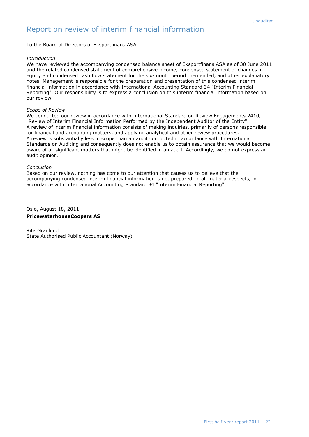To the Board of Directors of Eksportfinans ASA

#### *Introduction*

We have reviewed the accompanying condensed balance sheet of Eksportfinans ASA as of 30 June 2011 and the related condensed statement of comprehensive income, condensed statement of changes in equity and condensed cash flow statement for the six-month period then ended, and other explanatory notes. Management is responsible for the preparation and presentation of this condensed interim financial information in accordance with International Accounting Standard 34 "Interim Financial Reporting". Our responsibility is to express a conclusion on this interim financial information based on our review.

#### *Scope of Review*

We conducted our review in accordance with International Standard on Review Engagements 2410, "Review of Interim Financial Information Performed by the Independent Auditor of the Entity". A review of interim financial information consists of making inquiries, primarily of persons responsible for financial and accounting matters, and applying analytical and other review procedures. A review is substantially less in scope than an audit conducted in accordance with International Standards on Auditing and consequently does not enable us to obtain assurance that we would become aware of all significant matters that might be identified in an audit. Accordingly, we do not express an audit opinion.

#### *Conclusion*

Based on our review, nothing has come to our attention that causes us to believe that the accompanying condensed interim financial information is not prepared, in all material respects, in accordance with International Accounting Standard 34 "Interim Financial Reporting".

Oslo, August 18, 2011

#### **PricewaterhouseCoopers AS**

Rita Granlund State Authorised Public Accountant (Norway)